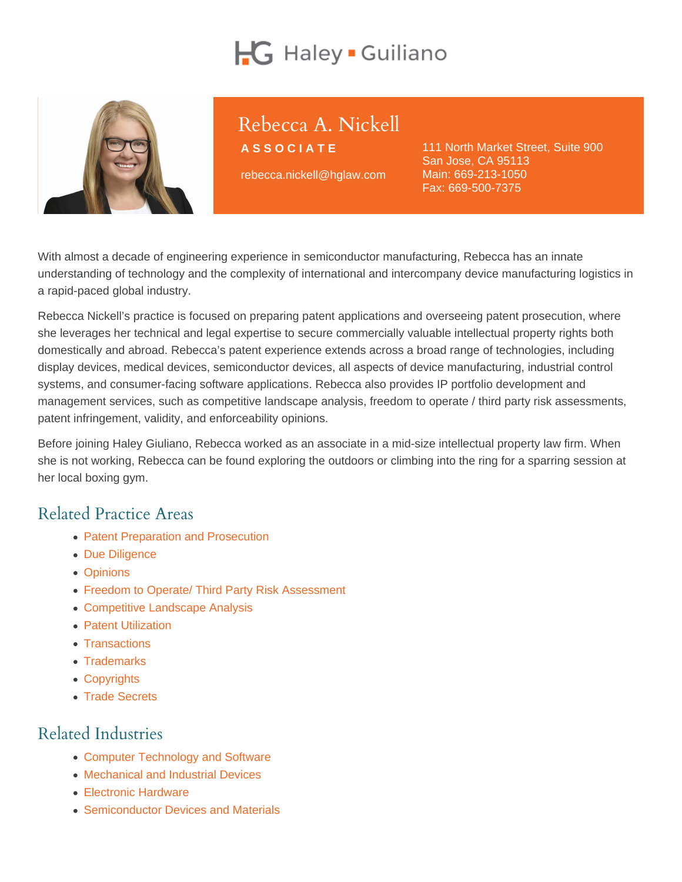# Rebecca A. Nickell

ASSOCIATE

rebecca.nickell@hglaw.com

111 North Market Street, Suite 900 San Jose, CA 95113 Main: [669-213-1050](tel:+1-669-213-1050) Fax: 669-500-7375

With almost a decade of engineering experience in semiconductor manufacturing, Rebecca has an innate understanding of technology and the complexity of international and intercompany device manufacturing logistics in a rapid-paced global industry.

Rebecca Nickell's practice is focused on preparing patent applications and overseeing patent prosecution, where she leverages her technical and legal expertise to secure commercially valuable intellectual property rights both domestically and abroad. Rebecca's patent experience extends across a broad range of technologies, including display devices, medical devices, semiconductor devices, all aspects of device manufacturing, industrial control systems, and consumer-facing software applications. Rebecca also provides IP portfolio development and management services, such as competitive landscape analysis, freedom to operate / third party risk assessments, patent infringement, validity, and enforceability opinions.

Before joining Haley Giuliano, Rebecca worked as an associate in a mid-size intellectual property law firm. When she is not working, Rebecca can be found exploring the outdoors or climbing into the ring for a sparring session at her local boxing gym.

## Related Practice Areas

- [Patent Preparation and Prosecution](https://www.hglaw.com/practice-areas/patents/patent-preparation-prosecution/)
- [Due Diligence](https://www.hglaw.com/practice-areas/strategic-counseling/due-diligence/)
- [Opinions](https://www.hglaw.com/practice-areas/strategic-counseling/opinions/)
- [Freedom to Operate/ Third Party Risk Assessment](https://www.hglaw.com/practice-areas/strategic-counseling/freedom-to-operate-third-party-risk-assessment/)
- [Competitive Landscape Analysis](https://www.hglaw.com/practice-areas/strategic-counseling/competitive-landscape-analysis/)
- [Patent Utilization](https://www.hglaw.com/practice-areas/strategic-counseling/patent-utilization/)
- [Transactions](https://www.hglaw.com/practice-areas/strategic-counseling/transactions/)
- [Trademarks](https://www.hglaw.com/practice-areas/trademarks/)
- [Copyrights](https://www.hglaw.com/practice-areas/copyrights/)
- [Trade Secrets](https://www.hglaw.com/practice-areas/trade-secrets/)

## Related Industries

- [Computer Technology and Software](https://www.hglaw.com/industries/computer-technology-software/)
- [Mechanical and Industrial Devices](https://www.hglaw.com/industries/mechanical-industrial-devices/)
- [Electronic Hardware](https://www.hglaw.com/industries/electronic-hardware/)
- [Semiconductor Devices and Materials](https://www.hglaw.com/industries/semiconductors-devices-materials/)